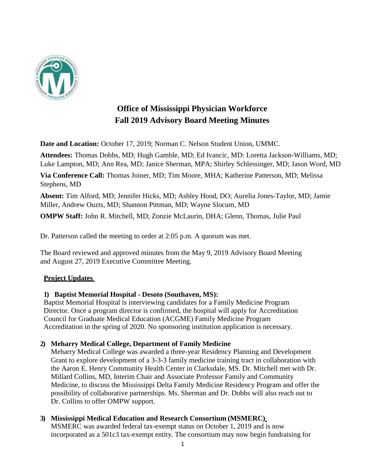

## **Office of Mississippi Physician Workforce Fall 2019 Advisory Board Meeting Minutes**

**Date and Location:** October 17, 2019; Norman C. Nelson Student Union, UMMC.

**Attendees:** Thomas Dobbs, MD; Hugh Gamble, MD; Ed Ivancic, MD: Loretta Jackson-Williams, MD; Luke Lampton, MD; Ann Rea, MD; Janice Sherman, MPA; Shirley Schlessinger, MD; Jason Word, MD

**Via Conference Call:** Thomas Joiner, MD; Tim Moore, MHA; Katherine Patterson, MD; Melissa Stephens, MD

**Absent:** Tim Alford, MD; Jennifer Hicks, MD; Ashley Hood, DO; Aurelia Jones-Taylor, MD; Jamie Miller, Andrew Ouzts, MD; Shannon Pittman, MD; Wayne Slocum, MD

**OMPW Staff:** John R. Mitchell, MD; Zonzie McLaurin, DHA; Glenn, Thomas, Julie Paul

Dr. Patterson called the meeting to order at 2:05 p.m. A quorum was met.

The Board reviewed and approved minutes from the May 9, 2019 Advisory Board Meeting and August 27, 2019 Executive Committee Meeting.

## **Project Updates**

#### **1) Baptist Memorial Hospital - Desoto (Southaven, MS):**

Baptist Memorial Hospital is interviewing candidates for a Family Medicine Program Director. Once a program director is confirmed, the hospital will apply for Accreditation Council for Graduate Medical Education (ACGME) Family Medicine Program Accreditation in the spring of 2020. No sponsoring institution application is necessary.

## **2) Meharry Medical College, Department of Family Medicine**

Meharry Medical College was awarded a three-year Residency Planning and Development Grant to explore development of a 3-3-3 family medicine training tract in collaboration with the Aaron E. Henry Community Health Center in Clarksdale, MS. Dr. Mitchell met with Dr. Millard Collins, MD, Interim Chair and Associate Professor Family and Community Medicine, to discuss the Mississippi Delta Family Medicine Residency Program and offer the possibility of collaborative partnerships. Ms. Sherman and Dr. Dobbs will also reach out to Dr. Collins to offer OMPW support.

## **3) Mississippi Medical Education and Research Consortium (MSMERC)**

MSMERC was awarded federal tax-exempt status on October 1, 2019 and is now incorporated as a 501c3 tax-exempt entity. The consortium may now begin fundraising for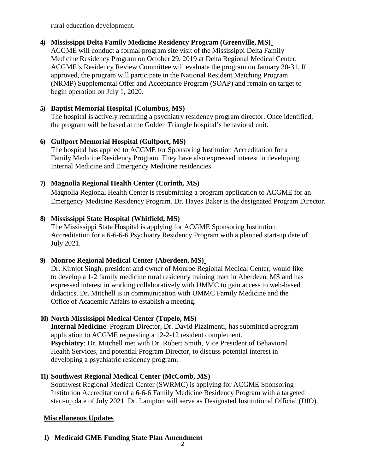rural education development.

#### **4) Mississippi Delta Family Medicine Residency Program (Greenville, MS)**

ACGME will conduct a formal program site visit of the Mississippi Delta Family Medicine Residency Program on October 29, 2019 at Delta Regional Medical Center. ACGME's Residency Review Committee will evaluate the program on January 30-31. If approved, the program will participate in the National Resident Matching Program (NRMP) Supplemental Offer and Acceptance Program (SOAP) and remain on target to begin operation on July 1, 2020.

#### **5) Baptist Memorial Hospital (Columbus, MS)**

The hospital is actively recruiting a psychiatry residency program director. Once identified, the program will be based at the Golden Triangle hospital's behavioral unit.

#### **6) Gulfport Memorial Hospital (Gulfport, MS)**

The hospital has applied to ACGME for Sponsoring Institution Accreditation for a Family Medicine Residency Program. They have also expressed interest in developing Internal Medicine and Emergency Medicine residencies.

## **7) Magnolia Regional Health Center (Corinth, MS)**

Magnolia Regional Health Center is resubmitting a program application to ACGME for an Emergency Medicine Residency Program. Dr. Hayes Baker is the designated Program Director.

#### **8) Mississippi State Hospital (Whitfield, MS)**

The Mississippi State Hospital is applying for ACGME Sponsoring Institution Accreditation for a 6-6-6-6 Psychiatry Residency Program with a planned start-up date of July 2021.

## **9) Monroe Regional Medical Center (Aberdeen, MS)**

Dr. Kirnjot Singh, president and owner of Monroe Regional Medical Center, would like to develop a 1-2 family medicine rural residency training tract in Aberdeen, MS and has expressed interest in working collaboratively with UMMC to gain access to web-based didactics. Dr. Mitchell is in communication with UMMC Family Medicine and the Office of Academic Affairs to establish a meeting.

## **10) North Mississippi Medical Center (Tupelo, MS)**

**Internal Medicine**: Program Director, Dr. David Pizzimenti, has submitted a program application to ACGME requesting a 12-2-12 resident complement. **Psychiatry**: Dr. Mitchell met with Dr. Robert Smith, Vice President of Behavioral Health Services, and potential Program Director, to discuss potential interest in developing a psychiatric residency program.

## **11) Southwest Regional Medical Center (McComb, MS)**

Southwest Regional Medical Center (SWRMC) is applying for ACGME Sponsoring Institution Accreditation of a 6-6-6 Family Medicine Residency Program with a targeted start-up date of July 2021. Dr. Lampton will serve as Designated Institutional Official (DIO).

## **Miscellaneous Updates**

## **1) Medicaid GME Funding State Plan Amendment**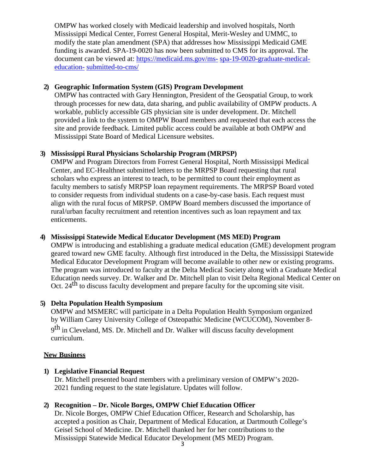OMPW has worked closely with Medicaid leadership and involved hospitals, North Mississippi Medical Center, Forrest General Hospital, Merit-Wesley and UMMC, to modify the state plan amendment (SPA) that addresses how Mississippi Medicaid GME funding is awarded. SPA-19-0020 has now been submitted to CMS for its approval. The document can be viewed at: [https://medicaid.ms.gov/ms-](https://medicaid.ms.gov/ms-spa-19-0020-graduate-medical-education-submitted-to-cms/) [spa-19-0020-graduate-medical](https://medicaid.ms.gov/ms-spa-19-0020-graduate-medical-education-submitted-to-cms/)[education-](https://medicaid.ms.gov/ms-spa-19-0020-graduate-medical-education-submitted-to-cms/) [submitted-to-cms/](https://medicaid.ms.gov/ms-spa-19-0020-graduate-medical-education-submitted-to-cms/)

#### **2) Geographic Information System (GIS) Program Development**

OMPW has contracted with Gary Hennington, President of the Geospatial Group, to work through processes for new data, data sharing, and public availability of OMPW products. A workable, publicly accessible GIS physician site is under development. Dr. Mitchell provided a link to the system to OMPW Board members and requested that each access the site and provide feedback. Limited public access could be available at both OMPW and Mississippi State Board of Medical Licensure websites.

#### **3) Mississippi Rural Physicians Scholarship Program (MRPSP)**

OMPW and Program Directors from Forrest General Hospital, North Mississippi Medical Center, and EC-Healthnet submitted letters to the MRPSP Board requesting that rural scholars who express an interest to teach, to be permitted to count their employment as faculty members to satisfy MRPSP loan repayment requirements. The MRPSP Board voted to consider requests from individual students on a case-by-case basis. Each request must align with the rural focus of MRPSP. OMPW Board members discussed the importance of rural/urban faculty recruitment and retention incentives such as loan repayment and tax enticements.

#### **4) Mississippi Statewide Medical Educator Development (MS MED) Program**

OMPW is introducing and establishing a graduate medical education (GME) development program geared toward new GME faculty. Although first introduced in the Delta, the Mississippi Statewide Medical Educator Development Program will become available to other new or existing programs. The program was introduced to faculty at the Delta Medical Society along with a Graduate Medical Education needs survey. Dr. Walker and Dr. Mitchell plan to visit Delta Regional Medical Center on Oct. 24<sup>th</sup> to discuss faculty development and prepare faculty for the upcoming site visit.

## **5) Delta Population Health Symposium**

OMPW and MSMERC will participate in a Delta Population Health Symposium organized by William Carey University College of Osteopathic Medicine (WCUCOM), November 8-

9<sup>th</sup> in Cleveland, MS. Dr. Mitchell and Dr. Walker will discuss faculty development curriculum.

#### **New Business**

#### **1) Legislative Financial Request**

Dr. Mitchell presented board members with a preliminary version of OMPW's 2020- 2021 funding request to the state legislature. Updates will follow.

## **2) Recognition – Dr. Nicole Borges, OMPW Chief Education Officer**

Dr. Nicole Borges, OMPW Chief Education Officer, Research and Scholarship, has accepted a position as Chair, Department of Medical Education, at Dartmouth College's Geisel School of Medicine. Dr. Mitchell thanked her for her contributions to the Mississippi Statewide Medical Educator Development (MS MED) Program.